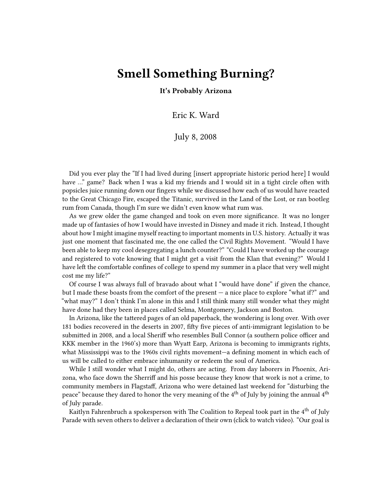## **Smell Something Burning?**

**It's Probably Arizona**

Eric K. Ward

July 8, 2008

Did you ever play the "If I had lived during [insert appropriate historic period here] I would have …" game? Back when I was a kid my friends and I would sit in a tight circle often with popsicles juice running down our fingers while we discussed how each of us would have reacted to the Great Chicago Fire, escaped the Titanic, survived in the Land of the Lost, or ran bootleg rum from Canada, though I'm sure we didn't even know what rum was.

As we grew older the game changed and took on even more significance. It was no longer made up of fantasies of how I would have invested in Disney and made it rich. Instead, I thought about how I might imagine myself reacting to important moments in U.S. history. Actually it was just one moment that fascinated me, the one called the Civil Rights Movement. "Would I have been able to keep my cool desegregating a lunch counter?" "Could I have worked up the courage and registered to vote knowing that I might get a visit from the Klan that evening?" Would I have left the comfortable confines of college to spend my summer in a place that very well might cost me my life?"

Of course I was always full of bravado about what I "would have done" if given the chance, but I made these boasts from the comfort of the present — a nice place to explore "what if?" and "what may?" I don't think I'm alone in this and I still think many still wonder what they might have done had they been in places called Selma, Montgomery, Jackson and Boston.

In Arizona, like the tattered pages of an old paperback, the wondering is long over. With over 181 bodies recovered in the deserts in 2007, fifty five pieces of anti-immigrant legislation to be submitted in 2008, and a local Sheriff who resembles Bull Connor (a southern police officer and KKK member in the 1960's) more than Wyatt Earp, Arizona is becoming to immigrants rights, what Mississippi was to the 1960s civil rights movement—a defining moment in which each of us will be called to either embrace inhumanity or redeem the soul of America.

While I still wonder what I might do, others are acting. From day laborers in Phoenix, Arizona, who face down the Sherriff and his posse because they know that work is not a crime, to community members in Flagstaff, Arizona who were detained last weekend for "disturbing the peace" because they dared to honor the very meaning of the  $4^{th}$  of July by joining the annual  $4^{th}$ of July parade.

Kaitlyn Fahrenbruch a spokesperson with The Coalition to Repeal took part in the 4<sup>th</sup> of July Parade with seven others to deliver a declaration of their own (click to watch video). "Our goal is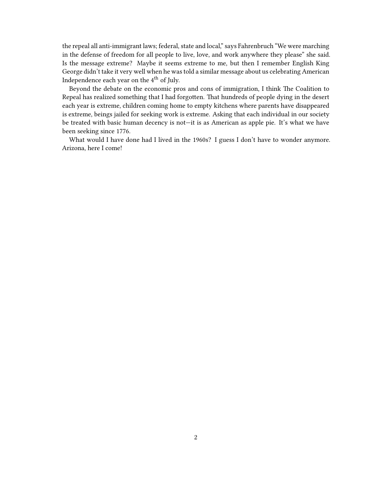the repeal all anti-immigrant laws; federal, state and local," says Fahrenbruch "We were marching in the defense of freedom for all people to live, love, and work anywhere they please" she said. Is the message extreme? Maybe it seems extreme to me, but then I remember English King George didn't take it very well when he was told a similar message about us celebrating American Independence each year on the 4<sup>th</sup> of July.

Beyond the debate on the economic pros and cons of immigration, I think The Coalition to Repeal has realized something that I had forgotten. That hundreds of people dying in the desert each year is extreme, children coming home to empty kitchens where parents have disappeared is extreme, beings jailed for seeking work is extreme. Asking that each individual in our society be treated with basic human decency is not—it is as American as apple pie. It's what we have been seeking since 1776.

What would I have done had I lived in the 1960s? I guess I don't have to wonder anymore. Arizona, here I come!